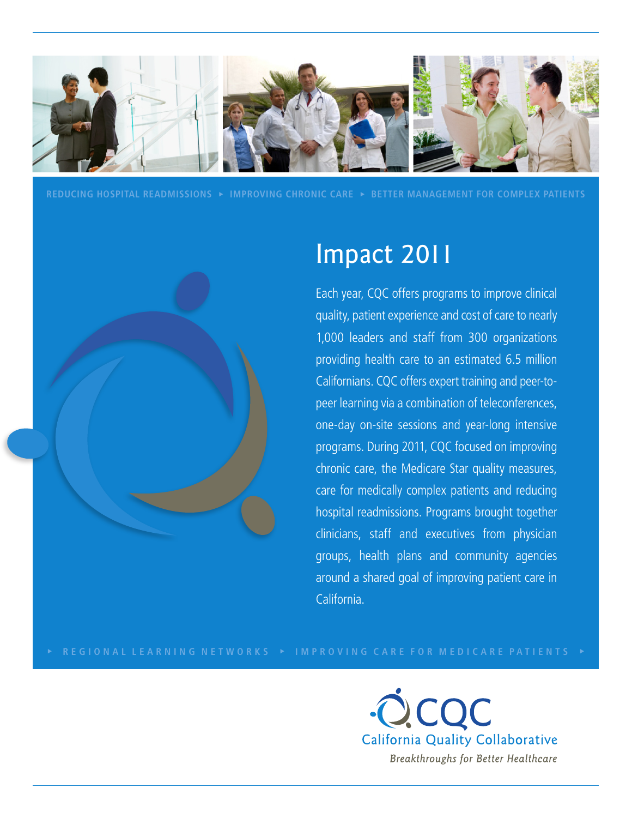

**REDUCING HOSPITAL READMISSIONS IMPROVING CHRONIC CARE BETTER MANAGEMENT FOR COMPLEX PATIENTS**



# Impact 2011

Each year, CQC offers programs to improve clinical quality, patient experience and cost of care to nearly 1,000 leaders and staff from 300 organizations providing health care to an estimated 6.5 million Californians. CQC offers expert training and peer-topeer learning via a combination of teleconferences, one-day on-site sessions and year-long intensive programs. During 2011, CQC focused on improving chronic care, the Medicare Star quality measures, care for medically complex patients and reducing hospital readmissions. Programs brought together clinicians, staff and executives from physician groups, health plans and community agencies around a shared goal of improving patient care in California.

COC **California Quality Collaborative** Breakthroughs for Better Healthcare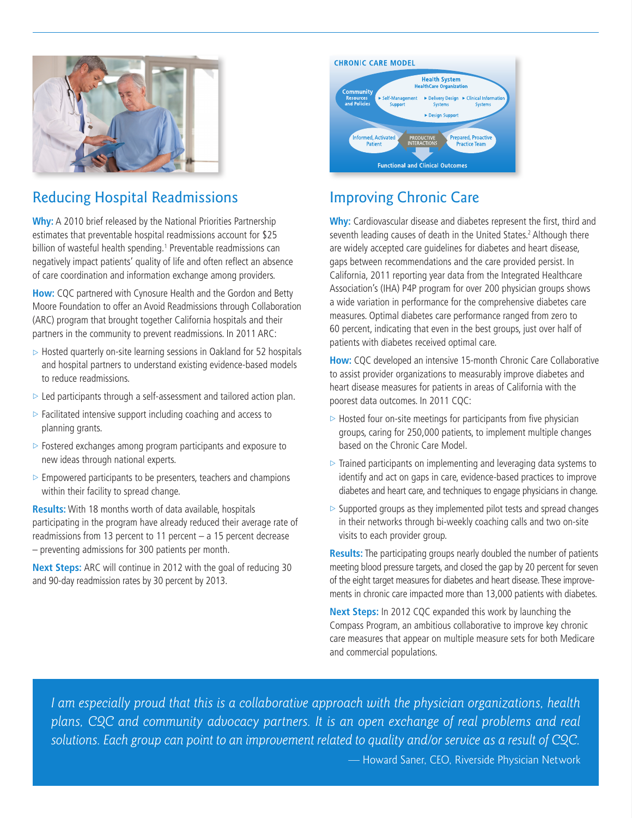

# Reducing Hospital Readmissions

**Why:** A 2010 brief released by the National Priorities Partnership estimates that preventable hospital readmissions account for \$25 billion of wasteful health spending.<sup>1</sup> Preventable readmissions can negatively impact patients' quality of life and often reflect an absence of care coordination and information exchange among providers.

**How:** CQC partnered with Cynosure Health and the Gordon and Betty Moore Foundation to offer an Avoid Readmissions through Collaboration (ARC) program that brought together California hospitals and their partners in the community to prevent readmissions. In 2011 ARC:

- $\triangleright$  Hosted quarterly on-site learning sessions in Oakland for 52 hospitals and hospital partners to understand existing evidence-based models to reduce readmissions.
- $\triangleright$  Led participants through a self-assessment and tailored action plan.
- $\triangleright$  Facilitated intensive support including coaching and access to planning grants.
- $\triangleright$  Fostered exchanges among program participants and exposure to new ideas through national experts.
- $\triangleright$  Empowered participants to be presenters, teachers and champions within their facility to spread change.

**Results:** With 18 months worth of data available, hospitals participating in the program have already reduced their average rate of readmissions from 13 percent to 11 percent – a 15 percent decrease – preventing admissions for 300 patients per month.

**Next Steps:** ARC will continue in 2012 with the goal of reducing 30 and 90-day readmission rates by 30 percent by 2013.



# Improving Chronic Care

**Why:** Cardiovascular disease and diabetes represent the first, third and seventh leading causes of death in the United States.<sup>2</sup> Although there are widely accepted care guidelines for diabetes and heart disease, gaps between recommendations and the care provided persist. In California, 2011 reporting year data from the Integrated Healthcare Association's (IHA) P4P program for over 200 physician groups shows a wide variation in performance for the comprehensive diabetes care measures. Optimal diabetes care performance ranged from zero to 60 percent, indicating that even in the best groups, just over half of patients with diabetes received optimal care.

**How:** CQC developed an intensive 15-month Chronic Care Collaborative to assist provider organizations to measurably improve diabetes and heart disease measures for patients in areas of California with the poorest data outcomes. In 2011 CQC:

- $\triangleright$  Hosted four on-site meetings for participants from five physician groups, caring for 250,000 patients, to implement multiple changes based on the Chronic Care Model.
- $\triangleright$  Trained participants on implementing and leveraging data systems to identify and act on gaps in care, evidence-based practices to improve diabetes and heart care, and techniques to engage physicians in change.
- $\triangleright$  Supported groups as they implemented pilot tests and spread changes in their networks through bi-weekly coaching calls and two on-site visits to each provider group.

**Results:** The participating groups nearly doubled the number of patients meeting blood pressure targets, and closed the gap by 20 percent for seven of the eight target measures for diabetes and heart disease. These improvements in chronic care impacted more than 13,000 patients with diabetes.

**Next Steps:** In 2012 CQC expanded this work by launching the Compass Program, an ambitious collaborative to improve key chronic care measures that appear on multiple measure sets for both Medicare and commercial populations.

*I am especially proud that this is a collaborative approach with the physician organizations, health plans, CQC and community advocacy partners. It is an open exchange of real problems and real solutions. Each group can point to an improvement related to quality and/or service as a result of CQC.* — Howard Saner, CEO, Riverside Physician Network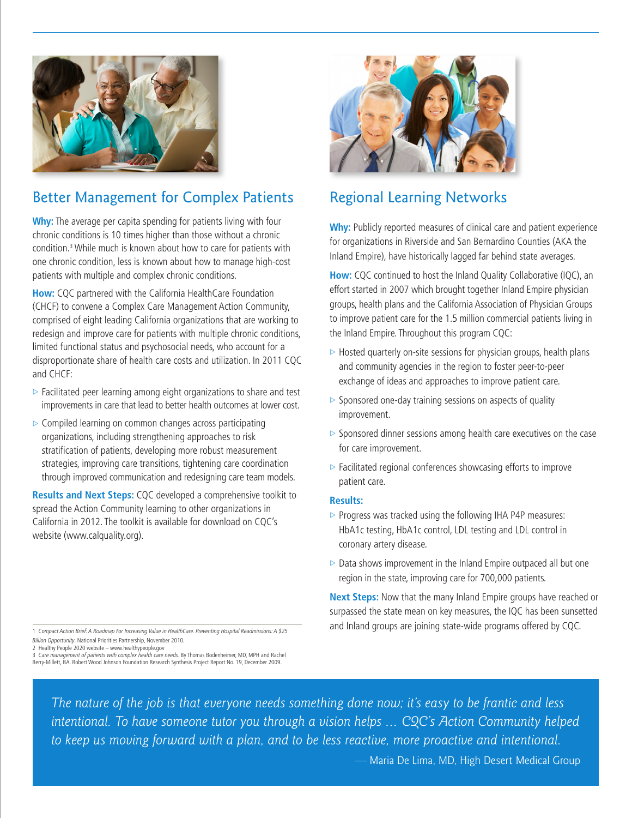

### Better Management for Complex Patients

**Why:** The average per capita spending for patients living with four chronic conditions is 10 times higher than those without a chronic condition.3 While much is known about how to care for patients with one chronic condition, less is known about how to manage high-cost patients with multiple and complex chronic conditions.

**How:** CQC partnered with the California HealthCare Foundation (CHCF) to convene a Complex Care Management Action Community, comprised of eight leading California organizations that are working to redesign and improve care for patients with multiple chronic conditions, limited functional status and psychosocial needs, who account for a disproportionate share of health care costs and utilization. In 2011 CQC and CHCF:

- $\triangleright$  Facilitated peer learning among eight organizations to share and test improvements in care that lead to better health outcomes at lower cost.
- $\triangleright$  Compiled learning on common changes across participating organizations, including strengthening approaches to risk stratification of patients, developing more robust measurement strategies, improving care transitions, tightening care coordination through improved communication and redesigning care team models.

**Results and Next Steps:** CQC developed a comprehensive toolkit to spread the Action Community learning to other organizations in California in 2012. The toolkit is available for download on CQC's website (www.calquality.org).



#### Regional Learning Networks

**Why:** Publicly reported measures of clinical care and patient experience for organizations in Riverside and San Bernardino Counties (AKA the Inland Empire), have historically lagged far behind state averages.

**How:** CQC continued to host the Inland Quality Collaborative (IQC), an effort started in 2007 which brought together Inland Empire physician groups, health plans and the California Association of Physician Groups to improve patient care for the 1.5 million commercial patients living in the Inland Empire. Throughout this program CQC:

- $\triangleright$  Hosted quarterly on-site sessions for physician groups, health plans and community agencies in the region to foster peer-to-peer exchange of ideas and approaches to improve patient care.
- $\triangleright$  Sponsored one-day training sessions on aspects of quality improvement.
- $\triangleright$  Sponsored dinner sessions among health care executives on the case for care improvement.
- $\triangleright$  Facilitated regional conferences showcasing efforts to improve patient care.

#### **Results:**

- $\triangleright$  Progress was tracked using the following IHA P4P measures: HbA1c testing, HbA1c control, LDL testing and LDL control in coronary artery disease.
- $\triangleright$  Data shows improvement in the Inland Empire outpaced all but one region in the state, improving care for 700,000 patients.

**Next Steps:** Now that the many Inland Empire groups have reached or surpassed the state mean on key measures, the IQC has been sunsetted and Inland groups are joining state-wide programs offered by CQC.

1 Compact Action Brief: A Roadmap For Increasing Value in HealthCare. Preventing Hospital Readmissions: A \$25 Billion Opportunity. National Priorities Partnership, November 2010.

2 Healthy People 2020 website – www.healthypeople.gov

3 *Care management of patients with complex health care needs.* By Thomas Bodenheimer, MD, MPH and Rachel<br>Berry-Millett, BA. Robert Wood Johnson Foundation Research Synthesis Project Report No. 19, December 2009.

*The nature of the job is that everyone needs something done now; it's easy to be frantic and less intentional. To have someone tutor you through a vision helps* ... *CQC's Action Community helped to keep us moving forward with a plan, and to be less reactive, more proactive and intentional.* 

— Maria De Lima, MD, High Desert Medical Group